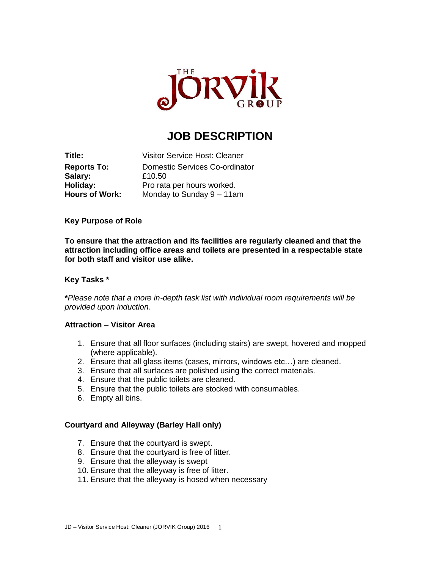

# **JOB DESCRIPTION**

**Title:** Visitor Service Host: Cleaner **Reports To:** Domestic Services Co-ordinator **Salary:** £10.50 **Holiday:** Pro rata per hours worked. **Hours of Work:** Monday to Sunday 9 – 11am

## **Key Purpose of Role**

**To ensure that the attraction and its facilities are regularly cleaned and that the attraction including office areas and toilets are presented in a respectable state for both staff and visitor use alike.**

### **Key Tasks \***

**\****Please note that a more in-depth task list with individual room requirements will be provided upon induction.*

#### **Attraction – Visitor Area**

- 1. Ensure that all floor surfaces (including stairs) are swept, hovered and mopped (where applicable).
- 2. Ensure that all glass items (cases, mirrors, windows etc…) are cleaned.
- 3. Ensure that all surfaces are polished using the correct materials.
- 4. Ensure that the public toilets are cleaned.
- 5. Ensure that the public toilets are stocked with consumables.
- 6. Empty all bins.

## **Courtyard and Alleyway (Barley Hall only)**

- 7. Ensure that the courtyard is swept.
- 8. Ensure that the courtyard is free of litter.
- 9. Ensure that the alleyway is swept
- 10. Ensure that the alleyway is free of litter.
- 11. Ensure that the alleyway is hosed when necessary